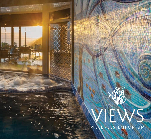# WIEWS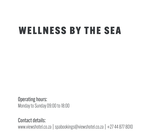# WELLNESS BY THE SEA

Operating hours: Monday to Sunday 09:00 to 18:00

Contact details: www.viewshotel.co.za | spabookings@viewshotel.co.za | +27 44 877 8010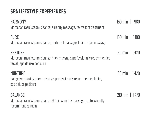# SPA LIFESTYLE EXPERIENCES

| <b>HARMONY</b><br>Moroccan rasul steam cleanse, serenity massage, revive foot treatment                                 | $150 \text{ min}$ 980    |
|-------------------------------------------------------------------------------------------------------------------------|--------------------------|
| <b>PURE</b><br>Moroccan rasul steam cleanse, herbal oil massage, Indian head massage                                    | $150 \text{ min}$   1180 |
| <b>RESTORE</b><br>Moroccan rasul steam cleanse, back massage, professionally recommended<br>facial, spa deluxe pedicure | $180 \text{ min}$   1420 |
| <b>NURTURE</b><br>Salt glow, relaxing back massage, professionally recommended facial,<br>spa deluxe pedicure           | $180 \text{ min}$   1420 |
| <b>BALANCE</b><br>Moroccan rasul steam cleanse, 90min serenity massage, professionally<br>recommended facial            | $210 \text{ min}$   1470 |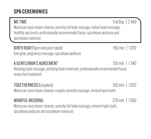## SPA CEREMONIES

#### ME TIME FULL DAY 1 2 440 Moroccan rasul steam cleanse, serenity full body massage, Indian head massage, healthly spa lunch, professionally recommended facial, spa deluxe pedicure and spa deluxe manicure

# BIRTH RIGHT (pre and post natal) 150 min | 1070

Salt glow, pregnancy massage, spa deluxe pedicure

#### A GENTLEMAN'S AGREEMENT 150 min | 1340 Relaxing back massage, purifying back treatment, professionally recommended facial, revive foot treatment

# TOGETHERNESS (couples) 150 min | 1 920 Moroccan rasul steam cleanse, couples serenity massage, mineral hydro bath

#### MINDFUL WEDDING 270 min | 1560

Moroccan rasul steam cleanse, serenity full body massage, mineral hydro bath, spa deluxe pedicure and spa deluxe manicure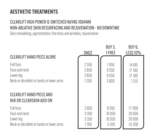#### CLEARLIFT HIGH POWER Q-SWITCHED NdYAG 1064NM NON-ABLATIVE SKIN RESURFACING AND REJUVENATION - NO DOWNTIME

Skin remodeling, pigmentation, fine lines and wrinkles, rejuvenation

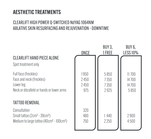#### CLEARLIFT HIGH POWER Q-SWITCHED NdYAG 1064NM ABLATIVE SKIN RESURFACING AND REJUVENATION - DOWNTIME

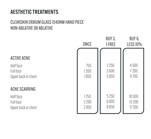#### CLEARSKIN ERBIUM GLASS 1540NM HAND PIECE NON-ABLATIVE OR ABLATIVE

#### ACTIVE ACNE

Half face Full face Upper back or chest

#### ACNE SCARRING

Half face Full face Upper back or chest

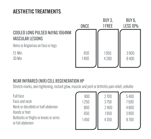

#### NEAR INFRARED (NIR) CELL REGENERATION HP

Stretch marks, skin tightening, instant glow, muscle and joint or Arthritis pain relief, cellulite

Full face Face and neck Neck or décolleté or half abdomen Hands or feet Buttocks or thighs or knees or arms or full abdomen

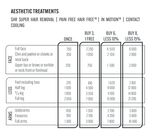SHR SUPER HAIR REMOVAL | PAIN FREE HAIR FREE™ | IN MOTION™ | CONTACT COOLING

|      |                                                                                                                               | <b>ONCE</b>       | BUY 3,<br>1 FREE    | BUY 6,<br><b>LESS 10%</b> | BUY 8,<br><b>LESS 15%</b> |
|------|-------------------------------------------------------------------------------------------------------------------------------|-------------------|---------------------|---------------------------|---------------------------|
| FACE | <b>Full face</b><br>Chin and jawline or cheeks or<br>neck back<br>Upper lips or brows or earlobe<br>or neck front or forehead | 750<br>350<br>250 | 2250<br>1050<br>750 | 4500<br>2100<br>1500      | 6000<br>2800<br>2000      |
| LEGS | Feet including toes                                                                                                           | 270               | 810                 | 1620                      | 2160                      |
|      | Half leg                                                                                                                      | 1500              | 4500                | 9000                      | 12000                     |
|      | $3/4$ leg                                                                                                                     | 1850              | 5550                | 11100                     | 14800                     |
|      | Full leg                                                                                                                      | 2650              | 7950                | 15900                     | 21200                     |
| ARMS | <b>Underarms</b>                                                                                                              | 450               | 1350                | 2700                      | 3600                      |
|      | Forearms                                                                                                                      | 700               | 2100                | 4 2 0 0                   | 5600                      |
|      | Full arms                                                                                                                     | 1300              | 3900                | 7800                      | 10 400                    |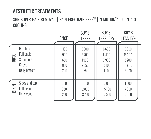SHR SUPER HAIR REMOVAL | PAIN FREE HAIR FREE™ |IN MOTION™ | CONTACT COOLING

|       |                                                              | <b>ONCE</b>                       | <b>BUY 3,</b><br>1 FREE             | BUY 6,<br><b>LESS 10%</b>             | BUY 8,<br><b>LESS 15%</b>              |  |
|-------|--------------------------------------------------------------|-----------------------------------|-------------------------------------|---------------------------------------|----------------------------------------|--|
| TORS0 | Half back<br>Full back<br>Shoulders<br>Chest<br>Belly bottom | 1100<br>1900<br>650<br>850<br>250 | 3300<br>5700<br>1950<br>2550<br>750 | 6600<br>11400<br>3900<br>5100<br>1500 | 8800<br>15 200<br>5200<br>6800<br>2000 |  |
| BIKIN | Sides and top<br>Full bikini<br>Hollywood                    | 500<br>950<br>1250                | 1500<br>2850<br>3750                | 3000<br>5700<br>7500                  | 4000<br>7600<br>10 000                 |  |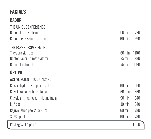# FACIALS

#### **BABOR**

| THE UNIQUE EXPERIENCE                 |                           |
|---------------------------------------|---------------------------|
| Babor skin revitalising               | $60 \text{ min}$  <br>720 |
| Babor men's skin treatment            | 690<br>$60 \text{ min}$   |
| THE EXPERT EXPERIENCE                 |                           |
| Therapro skin peel                    | 60 min   1100             |
| Doctor Bahor ultimate vitamin         | 75 min   980              |
| Retinol treatment                     | 75 min   1190             |
| <b>OPTIPHI</b>                        |                           |
| <b>ACTIVE SCIENTIFIC SKINCARE</b>     |                           |
| Classic hydrate & repair facial       | $60 \text{ min}$<br>660   |
| Classic radiance boost facial         | 660<br>$60 \text{ min}$   |
| Classic anti-aging stimulating facial | 740<br>$90 \text{ min}$   |
| LHA peel                              | 640<br>$30 \text{ min}$   |
| Rejuvenation peel 25%-30%             | 780<br>$60 \text{ min}$   |
| 30/30 peel                            | 780<br>$60 \text{ min}$   |
| Packages of 4 peels                   | 1850                      |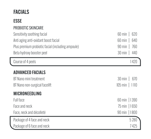# FACIALS

#### ESSE

Г

#### PROBIOTIC SKINCARE

| Sensitivity soothing facial                       | $60 \text{ min}$<br>620  |
|---------------------------------------------------|--------------------------|
| Anti aging anti-oxidant boost facial              | $60 \text{ min}$<br>640  |
| Plus premium probiotic facial (including ampoule) | 760<br>$90 \text{ min}$  |
| Beta hydroxy booster peel                         | $30 \text{ min}$<br>440  |
| Course of 4 peels                                 | 1420                     |
| <b>ADVANCED FACIALS</b>                           |                          |
| BT Nano mini treatment                            | $30 \text{ min}$<br>670  |
| BT Nano non-surgical facelift                     | $105 \text{ min}$   1110 |
| <b>MICRONEEDLING</b>                              |                          |
| Full face                                         | 60 min   1390            |
| Face and neck                                     | 75 min   1650            |
| Face, neck and décolleté                          | 90 min   1800            |
| Package of 4 face and neck                        | 5280                     |
| Package of 6 face and neck                        | 7425                     |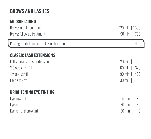# BROWS AND LASHES

#### MICROBLADING

| Brows: initial treatment<br>Brows: follow up treatment | 120 min   1600<br>$90 \text{ min}$ 700 |
|--------------------------------------------------------|----------------------------------------|
| Package: initial and one follow up treatment           | 1900                                   |
| <b>CLASSIC LASH EXTENSIONS</b>                         |                                        |
| Full set classic lash extensions                       | $120 \text{ min}$<br>570               |
| 2-3 week lash fill                                     | $60 \text{ min}$<br>320                |
| 4 week lash fill                                       | $90 \text{ min}$<br>400                |
| Lash snak off                                          | $30 \text{ min}$<br>100                |
| <b>BRIGHTENING EYE TINTING</b>                         |                                        |
| Evahrow tint                                           | $15 min$ $\overline{ }$<br>ΩN          |

| Eyebrow tint          | $15 \text{ min}$   80  |  |
|-----------------------|------------------------|--|
| Eyelash tint          | 30 min   80            |  |
| Eyelash and brow tint | $30 \text{ min}$   110 |  |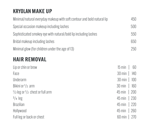# KRYOLAN MAKE UP

| Minimal/natural everyday makeup with soft contour and bold natural lip | 450                       |
|------------------------------------------------------------------------|---------------------------|
| Special occasion makeup including lashes                               | 500                       |
| Sophisticated smokey eye with natural/bold lip including lashes        | 550                       |
| Bridal makeup including lashes                                         | 650                       |
| Minimal glow (for children under the age of 13)                        | 250                       |
| <b>HAIR REMOVAL</b>                                                    |                           |
| Lip or chin or brow                                                    | $15$ min  <br>60          |
| Face                                                                   | $30 \text{ min}$<br>140   |
| Underarm                                                               | $30 \text{ min}$<br>100   |
| Bikini or 1/2 arm                                                      | 160<br>$30 \text{ min}$   |
| $\frac{1}{2}$ leg or $\frac{1}{2}$ chest or full arm                   | $45 \text{ min}$   200    |
| $3/4$ leg                                                              | $45 \,\mathrm{min}$   230 |
| <b>Brazilian</b>                                                       | $45 \,\mathrm{min}$   220 |
| Hollywood                                                              | $45 \,\mathrm{min}$   260 |
| Full leg or back or chest                                              | 60 min   $270$            |
|                                                                        |                           |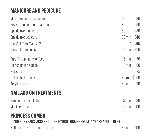# MANICURE AND PEDICURE

| Mini manicure or pedicure     | $30 \text{ min}$   180 |
|-------------------------------|------------------------|
| Revive hand or foot treatment | $30 \text{ min}$   250 |
| Spa deluxe manicure           | 60 min   280           |
| Spa deluxe pedicure           | 60 min   340           |
| Bio sculpture manicure        | $60 \text{ min}$   310 |
| Bio sculpture pedicure        | $60 \text{ min}$ 360   |
| Paraffin dip hands or feet    | 70<br>$15 \text{ min}$ |
| French polish add on          | $15 \text{ min}$<br>60 |
| Gel add on                    | $15 \text{ min}$   195 |
| Gel or shellac soak off       | 60<br>$30 \text{ min}$ |
| Acrylic soak off              | 60 min   $130$         |

#### NAIL ADD ON TREATMENTS

| Hand or foot exfoliation | $15 \text{ min}$ 30      |  |
|--------------------------|--------------------------|--|
| Medi heel peel           | $20 \text{ min}$   $100$ |  |

#### PRINCESS COMBO

(UNDER 12 YEARS, ACCESS TO THE HYDRO LOUNGE FROM 14 YEARS AND OLDER)

Buff and polish on hands and feet 60 min | 200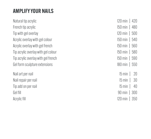#### AMPLIFY YOUR NAILS

Natural tip acrylic 120 min | 420 French tip acrylic 150 min | 480 Tip with gel overlay 120 min | 500 Acrylic overlay with gel colour 150 min | 540 Acrylic overlay with gel french 150 min | 560 Tip acrylic overlay with gel colour 150 min | 580 Tip acrylic overlay with gel french 150 min | 590 Gel form sculpture extensions 180 min | 550

Nail art per nail 15 min | 20 Nail repair per nail 15 min | 30 Tip add on per nail 15 min | 40 Gel fill 90 min | 300 Acrylic fill 120 min | 350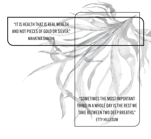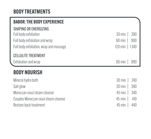#### BODY TREATMENTS

| <b>BABOR: THE BODY EXPERIENCE</b>       |                          |
|-----------------------------------------|--------------------------|
| SHAPING OR ENERGIZING                   |                          |
| Full body exfoliation                   | $30 \text{ min}$<br>390  |
| Full body exfoliation and wrap          | 900<br>$60 \text{ min}$  |
| Full body exfoliation, wrap and massage | $120 \text{ min}$   1340 |
| <b>CELLULITE TREATMENT</b>              |                          |
| Exfoliation and wrap                    | $60 \text{ min}$<br>890  |
| <b>BODY NOURISH</b>                     |                          |
| Mineral hydro bath                      | $30 \text{ min}$<br>240  |
| Salt glow                               | 390<br>$30 \text{ min}$  |
| Moroccan rasul steam cleanse            | $45$ min  <br>340        |
| Couples Moroccan rasul steam cleanse    | $45$ min  <br>410        |
| Restore back treatment                  | $45$ min  <br>440        |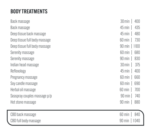# BODY TREATMENTS

| Back massage                  | $30 \text{min}$<br>400  |
|-------------------------------|-------------------------|
| Back massage                  | 435<br>$45$ min         |
| Deep tissue back massage      | 480<br>$45$ min         |
| Deep tissue full body massage | 730<br>$60 \text{ min}$ |
| Deep tissue full body massage | $90 \text{ min}$   1100 |
| Serenity massage              | $60 \text{ min}$<br>680 |
| Serenity massage              | $90 \text{ min}$<br>830 |
| Indian head massage           | $30 \text{min}$<br>375  |
| Reflexology                   | $45$ min  <br>400       |
| Pregnancy massage             | $60 \text{ min}$<br>660 |
| Soy candle massage            | $60 \text{ min}$<br>690 |
| Herbal oil massage            | 700<br>$60 \text{ min}$ |
| Seaspray couples massage p/p  | $90 \text{ min}$<br>740 |
| Hot stone massage             | $90 \text{ min}$<br>880 |
|                               |                         |
| CBD back massage              | 840<br>60 min           |
| CBD full body massage         | 90 min   1040           |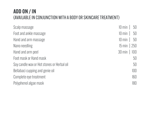#### ADD ON / IN (AVAILABLE IN CONJUNCTION WITH A BODY OR SKINCARE TREATMENT)

| Scalp massage                              | $10 \text{ min}$<br>50   |
|--------------------------------------------|--------------------------|
| Foot and ankle massage                     | $10 \text{ min}$<br>50   |
| Hand and arm massage                       | $10 \text{ min}$<br>50   |
| Nano needling                              | $15 \text{ min}$   250   |
| Hand and arm peel                          | $30 \text{ min}$   $100$ |
| Foot mask or Hand mask                     | 50                       |
| Soy candle wax or Hot stones or Herbal oil | 50                       |
| Bellabaci cupping and genie oil            | 100                      |
| Complete eye treatment                     | 160                      |
| Polyphenol algae mask                      | 180                      |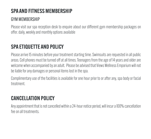# SPA AND FITNESS MEMBERSHIP

#### GYM MEMBERSHIP

Please visit our spa reception desk to enquire about our different gym membership packages on offer. daily, weekly and monthly options available

# SPA ETIQUETTE AND POLICY

Please arrive 15 minutes before your treatment starting time. Swimsuits are requested in all public areas. Cell phones must be turned off at all times. Teenagers from the age of 14 years and older are welcome when accompanied by an adult. Please be advised that Views Wellness Emporium will not be liable for any damages or personal items lost in the spa.

Complimentary use of the facilities is available for one hour prior to or after any, spa body or facial treatment.

## CANCELLATION POLICY

Any appointment that is not cancelled within a 24-hour notice period, will incur a 100% cancellation fee on all treatments.